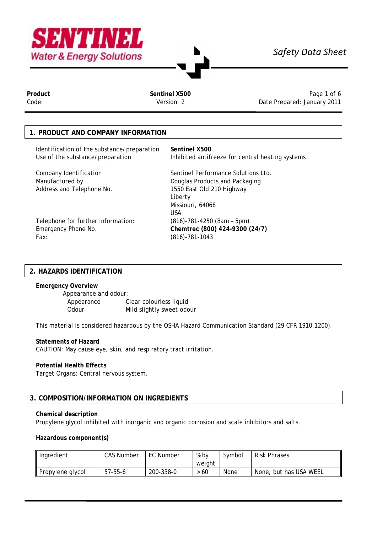

# *Safety Data Sheet*

Product **Sentinel X500** Page 1 of 6<br>Code: **Sentinel X500** Page 1 of 6<br>Code: **Sentinel X500** Pate Prepared: January 2011 Date Prepared: January 2011

## **1. PRODUCT AND COMPANY INFORMATION**

Identification of the substance/preparation **Sentinel X500**  Use of the substance/preparation Inhibited antifreeze for central heating systems

Address and Telephone No. 1550 East Old 210 Highway

Company Identification Sentinel Performance Solutions Ltd. Manufactured by Douglas Products and Packaging Liberty Missiouri, 64068 USA

Telephone for further information: (816)-781-4250 (8am – 5pm) Emergency Phone No. **Chemtrec (800) 424-9300 (24/7)** Fax: (816)-781-1043

### **2. HAZARDS IDENTIFICATION**

**Emergency Overview**

Appearance and odour: Appearance Clear colourless liquid Odour Mild slightly sweet odour

This material is considered hazardous by the OSHA Hazard Communication Standard (29 CFR 1910.1200).

#### **Statements of Hazard**

CAUTION: May cause eye, skin, and respiratory tract irritation.

#### **Potential Health Effects**

Target Organs: Central nervous system.

### **3. COMPOSITION/INFORMATION ON INGREDIENTS**

#### **Chemical description**

Propylene glycol inhibited with inorganic and organic corrosion and scale inhibitors and salts.

#### **Hazardous component(s)**

| Ingredient       | CAS Number | EC Number | % bv   | Symbol | <b>Risk Phrases</b>    |  |
|------------------|------------|-----------|--------|--------|------------------------|--|
|                  |            |           | weight |        |                        |  |
| Propylene glycol | 57-55-6    | 200-338-0 | 60     | None   | None, but has USA WEEL |  |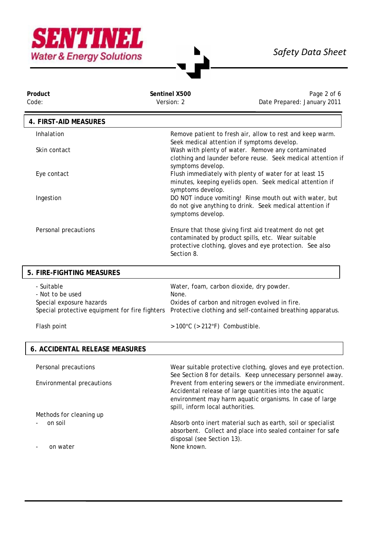

٦

| Sentinel X500 | Page 2 of 6                 |
|---------------|-----------------------------|
| Version: 2    | Date Prepared: January 2011 |
|               |                             |

| 4. FIRST-AID MEASURES |                                                                                                                                                                                         |
|-----------------------|-----------------------------------------------------------------------------------------------------------------------------------------------------------------------------------------|
| Inhalation            | Remove patient to fresh air, allow to rest and keep warm.                                                                                                                               |
|                       | Seek medical attention if symptoms develop.                                                                                                                                             |
| Skin contact          | Wash with plenty of water. Remove any contaminated                                                                                                                                      |
|                       | clothing and launder before reuse. Seek medical attention if<br>symptoms develop.                                                                                                       |
| Eye contact           | Flush immediately with plenty of water for at least 15                                                                                                                                  |
|                       | minutes, keeping eyelids open. Seek medical attention if<br>symptoms develop.                                                                                                           |
| Ingestion             | DO NOT induce vomiting! Rinse mouth out with water, but                                                                                                                                 |
|                       | do not give anything to drink. Seek medical attention if<br>symptoms develop.                                                                                                           |
| Personal precautions  | Ensure that those giving first aid treatment do not get<br>contaminated by product spills, etc. Wear suitable<br>protective clothing, gloves and eye protection. See also<br>Section 8. |

| 5. FIRE-FIGHTING MEASURES                      |                                                             |
|------------------------------------------------|-------------------------------------------------------------|
| - Suitable                                     | Water, foam, carbon dioxide, dry powder.                    |
| - Not to be used                               | None.                                                       |
| Special exposure hazards                       | Oxides of carbon and nitrogen evolved in fire.              |
| Special protective equipment for fire fighters | Protective clothing and self-contained breathing apparatus. |
| Flash point                                    | $>100^{\circ}$ C ( $>212^{\circ}$ F) Combustible.           |

# **6. ACCIDENTAL RELEASE MEASURES**

| Personal precautions      | Wear suitable protective clothing, gloves and eye protection.                                                         |
|---------------------------|-----------------------------------------------------------------------------------------------------------------------|
|                           | See Section 8 for details. Keep unnecessary personnel away.                                                           |
| Environmental precautions | Prevent from entering sewers or the immediate environment.<br>Accidental release of large quantities into the aquatic |
|                           | environment may harm aquatic organisms. In case of large<br>spill, inform local authorities.                          |
|                           |                                                                                                                       |
| Methods for cleaning up   |                                                                                                                       |
| on soil                   | Absorb onto inert material such as earth, soil or specialist                                                          |
|                           | absorbent. Collect and place into sealed container for safe                                                           |
|                           | disposal (see Section 13).                                                                                            |
| on water                  | None known.                                                                                                           |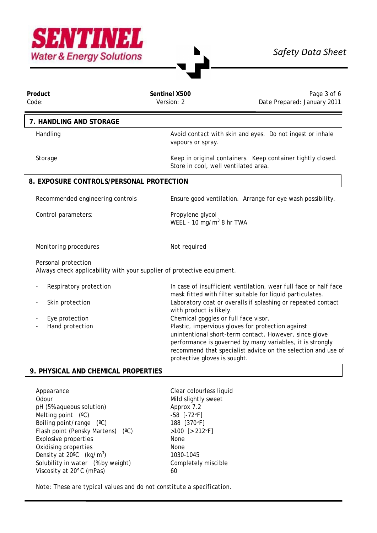

| Product<br>Code:                         | Sentinel X500<br>Version: 2                                            | Page 3 of 6<br>Date Prepared: January 2011                                                                                                                                                                                                                                                                       |  |  |  |  |  |
|------------------------------------------|------------------------------------------------------------------------|------------------------------------------------------------------------------------------------------------------------------------------------------------------------------------------------------------------------------------------------------------------------------------------------------------------|--|--|--|--|--|
| 7. HANDLING AND STORAGE                  |                                                                        |                                                                                                                                                                                                                                                                                                                  |  |  |  |  |  |
| Handling                                 | vapours or spray.                                                      | Avoid contact with skin and eyes. Do not ingest or inhale                                                                                                                                                                                                                                                        |  |  |  |  |  |
| Storage                                  | Store in cool, well ventilated area.                                   | Keep in original containers. Keep container tightly closed.                                                                                                                                                                                                                                                      |  |  |  |  |  |
| 8. EXPOSURE CONTROLS/PERSONAL PROTECTION |                                                                        |                                                                                                                                                                                                                                                                                                                  |  |  |  |  |  |
| Recommended engineering controls         |                                                                        | Ensure good ventilation. Arrange for eye wash possibility.                                                                                                                                                                                                                                                       |  |  |  |  |  |
| Control parameters:                      | Propylene glycol                                                       | WEEL - 10 mg/m <sup>3</sup> 8 hr TWA                                                                                                                                                                                                                                                                             |  |  |  |  |  |
| Monitoring procedures                    | Not required                                                           |                                                                                                                                                                                                                                                                                                                  |  |  |  |  |  |
| Personal protection                      | Always check applicability with your supplier of protective equipment. |                                                                                                                                                                                                                                                                                                                  |  |  |  |  |  |
| Respiratory protection                   |                                                                        | In case of insufficient ventilation, wear full face or half face<br>mask fitted with filter suitable for liquid particulates.                                                                                                                                                                                    |  |  |  |  |  |
| Skin protection                          |                                                                        | Laboratory coat or overalls if splashing or repeated contact<br>with product is likely.                                                                                                                                                                                                                          |  |  |  |  |  |
| Eye protection<br>Hand protection        |                                                                        | Chemical goggles or full face visor.<br>Plastic, impervious gloves for protection against<br>unintentional short-term contact. However, since glove<br>performance is governed by many variables, it is strongly<br>recommend that specialist advice on the selection and use of<br>protective gloves is sought. |  |  |  |  |  |

### **9. PHYSICAL AND CHEMICAL PROPERTIES**

Appearance Clear colourless liquid Odour Mild slightly sweet pH (5% aqueous solution) Approx 7.2 Melting point  $(^{\circ}C)$  -58  $[-72^{\circ}F]$ Boiling point/range (°C) 188 [370°F] Flash point (Pensky Martens) (°C) >100 [> 212°F] Explosive properties None Oxidising properties None Density at 20°C (kg/m<sup>3</sup>) Solubility in water (% by weight) Completely miscible Viscosity at 20°C (mPas) 60

) 1030-1045

*Note: These are typical values and do not constitute a specification.*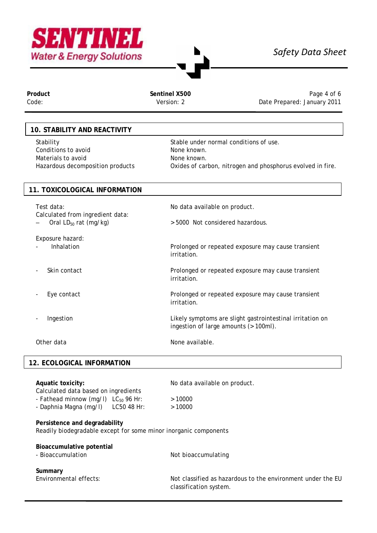

# *Safety Data Sheet*

Product **Product** Product **Sentinel X500** Sentinel X500<br>Code: Sentinel X500 Page 4 of 6<br>Code: Sanuary 2011 Date Prepared: January 2011

## **10. STABILITY AND REACTIVITY**

Stability Stable under normal conditions of use. Conditions to avoid None known. Materials to avoid<br>
Hazardous decomposition products<br>
Oxides of car

Oxides of carbon, nitrogen and phosphorus evolved in fire.

## **11. TOXICOLOGICAL INFORMATION**

| Test data:<br>Calculated from ingredient data:<br>Oral $LD_{50}$ rat (mg/kg) | No data available on product.<br>> 5000 Not considered hazardous.                                  |
|------------------------------------------------------------------------------|----------------------------------------------------------------------------------------------------|
| Exposure hazard:<br>Inhalation                                               | Prolonged or repeated exposure may cause transient<br>irritation.                                  |
| Skin contact                                                                 | Prolonged or repeated exposure may cause transient<br>irritation.                                  |
| Eye contact                                                                  | Prolonged or repeated exposure may cause transient<br>irritation.                                  |
| Ingestion                                                                    | Likely symptoms are slight gastrointestinal irritation on<br>ingestion of large amounts (> 100ml). |
| Other data                                                                   | None available.                                                                                    |

# **12. ECOLOGICAL INFORMATION**

| Aquatic toxicity:<br>Calculated data based on ingredients<br>- Fathead minnow (mg/l) $LC_{50}$ 96 Hr:<br>- Daphnia Magna (mg/l) LC50 48 Hr: | No data available on product.<br>>10000<br>>10000                                     |  |  |  |  |
|---------------------------------------------------------------------------------------------------------------------------------------------|---------------------------------------------------------------------------------------|--|--|--|--|
| Persistence and degradability<br>Readily biodegradable except for some minor inorganic components                                           |                                                                                       |  |  |  |  |
| Bioaccumulative potential<br>- Bioaccumulation                                                                                              | Not bioaccumulating                                                                   |  |  |  |  |
| Summary<br>Environmental effects:                                                                                                           | Not classified as hazardous to the environment under the EU<br>classification system. |  |  |  |  |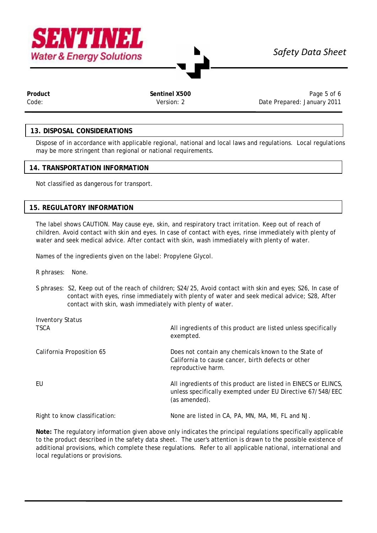



**Product Sentinel X500** Page 5 of 6 Code: Version: 2 Date Prepared: January 2011

## **13. DISPOSAL CONSIDERATIONS**

Dispose of in accordance with applicable regional, national and local laws and regulations. Local regulations may be more stringent than regional or national requirements.

#### **14. TRANSPORTATION INFORMATION**

Not classified as dangerous for transport.

#### **15. REGULATORY INFORMATION**

The label shows CAUTION. May cause eye, skin, and respiratory tract irritation. Keep out of reach of children. Avoid contact with skin and eyes. In case of contact with eyes, rinse immediately with plenty of water and seek medical advice. After contact with skin, wash immediately with plenty of water.

Names of the ingredients given on the label: Propylene Glycol.

R phrases: None.

S phrases: S2, Keep out of the reach of children; S24/25, Avoid contact with skin and eyes; S26, In case of contact with eyes, rinse immediately with plenty of water and seek medical advice; S28, After contact with skin, wash immediately with plenty of water.

| <b>Inventory Status</b>       |                                                                                                                                                |  |  |  |
|-------------------------------|------------------------------------------------------------------------------------------------------------------------------------------------|--|--|--|
| <b>TSCA</b>                   | All ingredients of this product are listed unless specifically<br>exempted.                                                                    |  |  |  |
| California Proposition 65     | Does not contain any chemicals known to the State of<br>California to cause cancer, birth defects or other<br>reproductive harm.               |  |  |  |
| EU                            | All ingredients of this product are listed in EINECS or ELINCS,<br>unless specifically exempted under EU Directive 67/548/EEC<br>(as amended). |  |  |  |
| Right to know classification: | None are listed in CA, PA, MN, MA, MI, FL and NJ.                                                                                              |  |  |  |

**Note:** The regulatory information given above only indicates the principal regulations specifically applicable to the product described in the safety data sheet. The user's attention is drawn to the possible existence of additional provisions, which complete these regulations. Refer to all applicable national, international and local regulations or provisions.